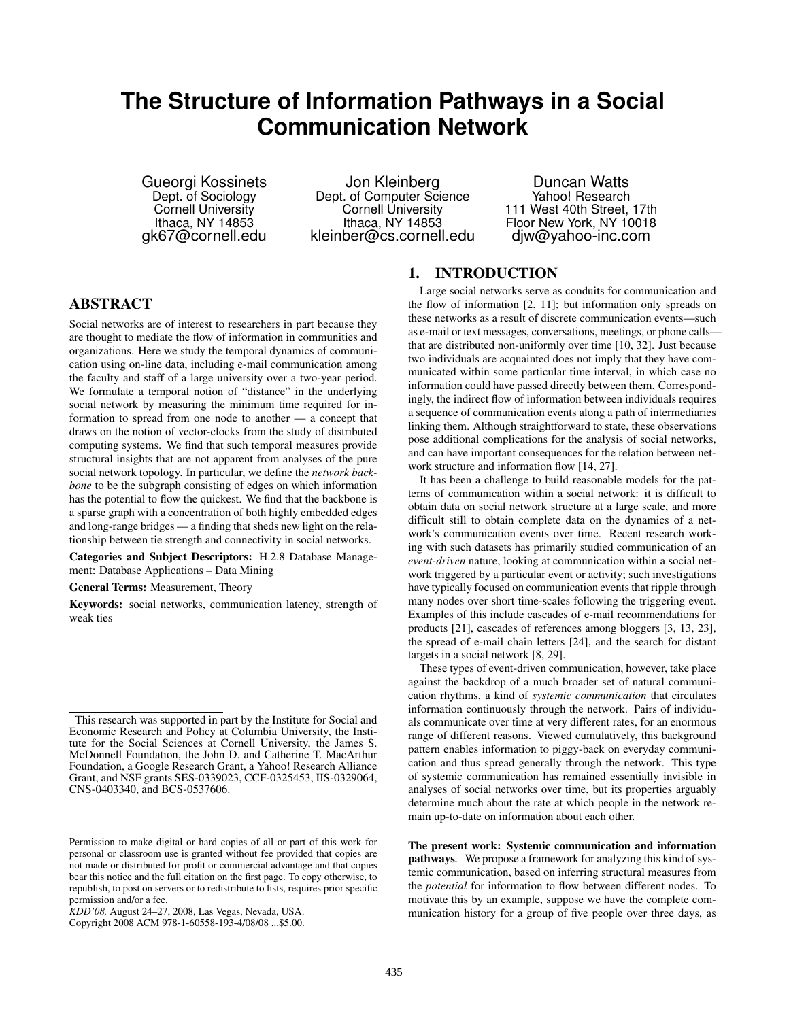# **The Structure of Information Pathways in a Social Communication Network**

Gueorgi Kossinets Dept. of Sociology Cornell University Ithaca, NY 14853 gk67@cornell.edu

Jon Kleinberg Dept. of Computer Science Cornell University Ithaca, NY 14853 kleinber@cs.cornell.edu

Duncan Watts Yahoo! Research 111 West 40th Street, 17th Floor New York, NY 10018 djw@yahoo-inc.com

## ABSTRACT

Social networks are of interest to researchers in part because they are thought to mediate the flow of information in communities and organizations. Here we study the temporal dynamics of communication using on-line data, including e-mail communication among the faculty and staff of a large university over a two-year period. We formulate a temporal notion of "distance" in the underlying social network by measuring the minimum time required for information to spread from one node to another — a concept that draws on the notion of vector-clocks from the study of distributed computing systems. We find that such temporal measures provide structural insights that are not apparent from analyses of the pure social network topology. In particular, we define the *network backbone* to be the subgraph consisting of edges on which information has the potential to flow the quickest. We find that the backbone is a sparse graph with a concentration of both highly embedded edges and long-range bridges — a finding that sheds new light on the relationship between tie strength and connectivity in social networks.

Categories and Subject Descriptors: H.2.8 Database Management: Database Applications – Data Mining

General Terms: Measurement, Theory

Keywords: social networks, communication latency, strength of weak ties

Copyright 2008 ACM 978-1-60558-193-4/08/08 ...\$5.00.

### 1. INTRODUCTION

Large social networks serve as conduits for communication and the flow of information [2, 11]; but information only spreads on these networks as a result of discrete communication events—such as e-mail or text messages, conversations, meetings, or phone calls that are distributed non-uniformly over time [10, 32]. Just because two individuals are acquainted does not imply that they have communicated within some particular time interval, in which case no information could have passed directly between them. Correspondingly, the indirect flow of information between individuals requires a sequence of communication events along a path of intermediaries linking them. Although straightforward to state, these observations pose additional complications for the analysis of social networks, and can have important consequences for the relation between network structure and information flow [14, 27].

It has been a challenge to build reasonable models for the patterns of communication within a social network: it is difficult to obtain data on social network structure at a large scale, and more difficult still to obtain complete data on the dynamics of a network's communication events over time. Recent research working with such datasets has primarily studied communication of an *event-driven* nature, looking at communication within a social network triggered by a particular event or activity; such investigations have typically focused on communication events that ripple through many nodes over short time-scales following the triggering event. Examples of this include cascades of e-mail recommendations for products [21], cascades of references among bloggers [3, 13, 23], the spread of e-mail chain letters [24], and the search for distant targets in a social network [8, 29].

These types of event-driven communication, however, take place against the backdrop of a much broader set of natural communication rhythms, a kind of *systemic communication* that circulates information continuously through the network. Pairs of individuals communicate over time at very different rates, for an enormous range of different reasons. Viewed cumulatively, this background pattern enables information to piggy-back on everyday communication and thus spread generally through the network. This type of systemic communication has remained essentially invisible in analyses of social networks over time, but its properties arguably determine much about the rate at which people in the network remain up-to-date on information about each other.

The present work: Systemic communication and information pathways*.* We propose a framework for analyzing this kind of systemic communication, based on inferring structural measures from the *potential* for information to flow between different nodes. To motivate this by an example, suppose we have the complete communication history for a group of five people over three days, as

This research was supported in part by the Institute for Social and Economic Research and Policy at Columbia University, the Institute for the Social Sciences at Cornell University, the James S. McDonnell Foundation, the John D. and Catherine T. MacArthur Foundation, a Google Research Grant, a Yahoo! Research Alliance Grant, and NSF grants SES-0339023, CCF-0325453, IIS-0329064, CNS-0403340, and BCS-0537606.

Permission to make digital or hard copies of all or part of this work for personal or classroom use is granted without fee provided that copies are not made or distributed for profit or commercial advantage and that copies bear this notice and the full citation on the first page. To copy otherwise, to republish, to post on servers or to redistribute to lists, requires prior specific permission and/or a fee.

*KDD'08,* August 24–27, 2008, Las Vegas, Nevada, USA.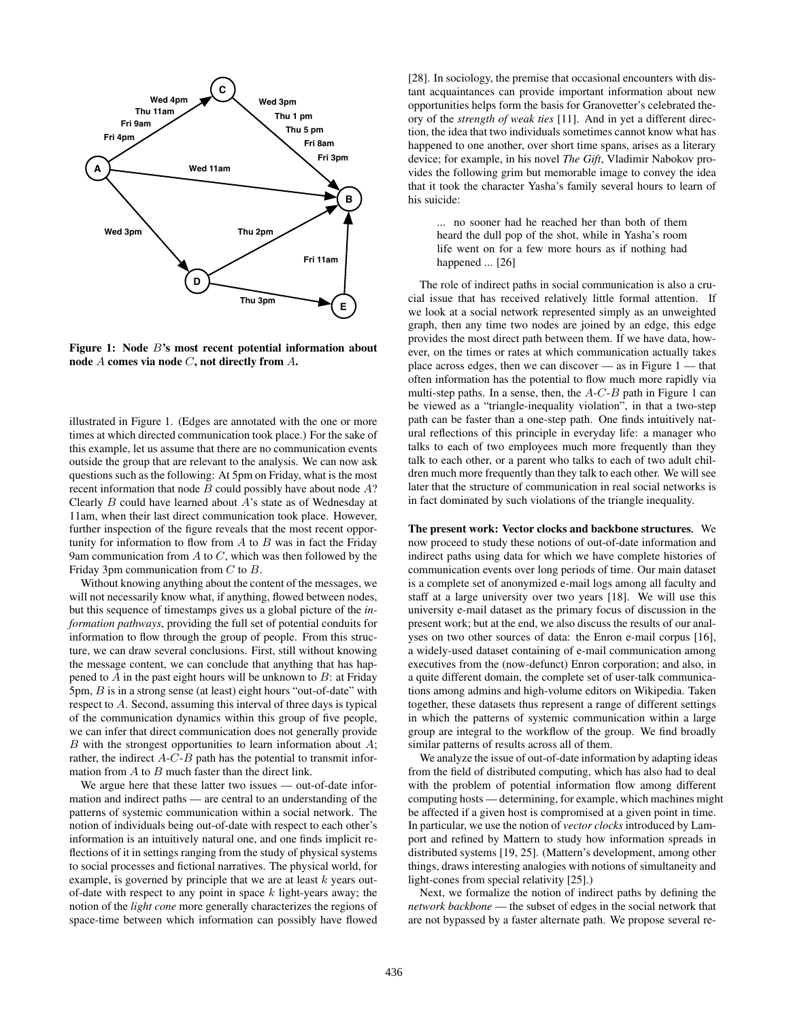

Figure 1: Node B's most recent potential information about node A comes via node C, not directly from A.

illustrated in Figure 1. (Edges are annotated with the one or more times at which directed communication took place.) For the sake of this example, let us assume that there are no communication events outside the group that are relevant to the analysis. We can now ask questions such as the following: At 5pm on Friday, what is the most recent information that node  $B$  could possibly have about node  $A$ ? Clearly B could have learned about A's state as of Wednesday at 11am, when their last direct communication took place. However, further inspection of the figure reveals that the most recent opportunity for information to flow from  $A$  to  $B$  was in fact the Friday 9am communication from  $A$  to  $C$ , which was then followed by the Friday 3pm communication from C to B.

Without knowing anything about the content of the messages, we will not necessarily know what, if anything, flowed between nodes, but this sequence of timestamps gives us a global picture of the *information pathways*, providing the full set of potential conduits for information to flow through the group of people. From this structure, we can draw several conclusions. First, still without knowing the message content, we can conclude that anything that has happened to  $A$  in the past eight hours will be unknown to  $B$ : at Friday 5pm, B is in a strong sense (at least) eight hours "out-of-date" with respect to A. Second, assuming this interval of three days is typical of the communication dynamics within this group of five people, we can infer that direct communication does not generally provide  $B$  with the strongest opportunities to learn information about  $A$ ; rather, the indirect  $A$ -C-B path has the potential to transmit information from  $A$  to  $B$  much faster than the direct link.

We argue here that these latter two issues — out-of-date information and indirect paths — are central to an understanding of the patterns of systemic communication within a social network. The notion of individuals being out-of-date with respect to each other's information is an intuitively natural one, and one finds implicit reflections of it in settings ranging from the study of physical systems to social processes and fictional narratives. The physical world, for example, is governed by principle that we are at least  $k$  years outof-date with respect to any point in space  $k$  light-years away; the notion of the *light cone* more generally characterizes the regions of space-time between which information can possibly have flowed [28]. In sociology, the premise that occasional encounters with distant acquaintances can provide important information about new opportunities helps form the basis for Granovetter's celebrated theory of the *strength of weak ties* [11]. And in yet a different direction, the idea that two individuals sometimes cannot know what has happened to one another, over short time spans, arises as a literary device; for example, in his novel *The Gift*, Vladimir Nabokov provides the following grim but memorable image to convey the idea that it took the character Yasha's family several hours to learn of his suicide:

... no sooner had he reached her than both of them heard the dull pop of the shot, while in Yasha's room life went on for a few more hours as if nothing had happened ... [26]

The role of indirect paths in social communication is also a crucial issue that has received relatively little formal attention. If we look at a social network represented simply as an unweighted graph, then any time two nodes are joined by an edge, this edge provides the most direct path between them. If we have data, however, on the times or rates at which communication actually takes place across edges, then we can discover — as in Figure 1 — that often information has the potential to flow much more rapidly via multi-step paths. In a sense, then, the  $A-C-B$  path in Figure 1 can be viewed as a "triangle-inequality violation", in that a two-step path can be faster than a one-step path. One finds intuitively natural reflections of this principle in everyday life: a manager who talks to each of two employees much more frequently than they talk to each other, or a parent who talks to each of two adult children much more frequently than they talk to each other. We will see later that the structure of communication in real social networks is in fact dominated by such violations of the triangle inequality.

The present work: Vector clocks and backbone structures*.* We now proceed to study these notions of out-of-date information and indirect paths using data for which we have complete histories of communication events over long periods of time. Our main dataset is a complete set of anonymized e-mail logs among all faculty and staff at a large university over two years [18]. We will use this university e-mail dataset as the primary focus of discussion in the present work; but at the end, we also discuss the results of our analyses on two other sources of data: the Enron e-mail corpus [16], a widely-used dataset containing of e-mail communication among executives from the (now-defunct) Enron corporation; and also, in a quite different domain, the complete set of user-talk communications among admins and high-volume editors on Wikipedia. Taken together, these datasets thus represent a range of different settings in which the patterns of systemic communication within a large group are integral to the workflow of the group. We find broadly similar patterns of results across all of them.

We analyze the issue of out-of-date information by adapting ideas from the field of distributed computing, which has also had to deal with the problem of potential information flow among different computing hosts — determining, for example, which machines might be affected if a given host is compromised at a given point in time. In particular, we use the notion of *vector clocks* introduced by Lamport and refined by Mattern to study how information spreads in distributed systems [19, 25]. (Mattern's development, among other things, draws interesting analogies with notions of simultaneity and light-cones from special relativity [25].)

Next, we formalize the notion of indirect paths by defining the *network backbone* — the subset of edges in the social network that are not bypassed by a faster alternate path. We propose several re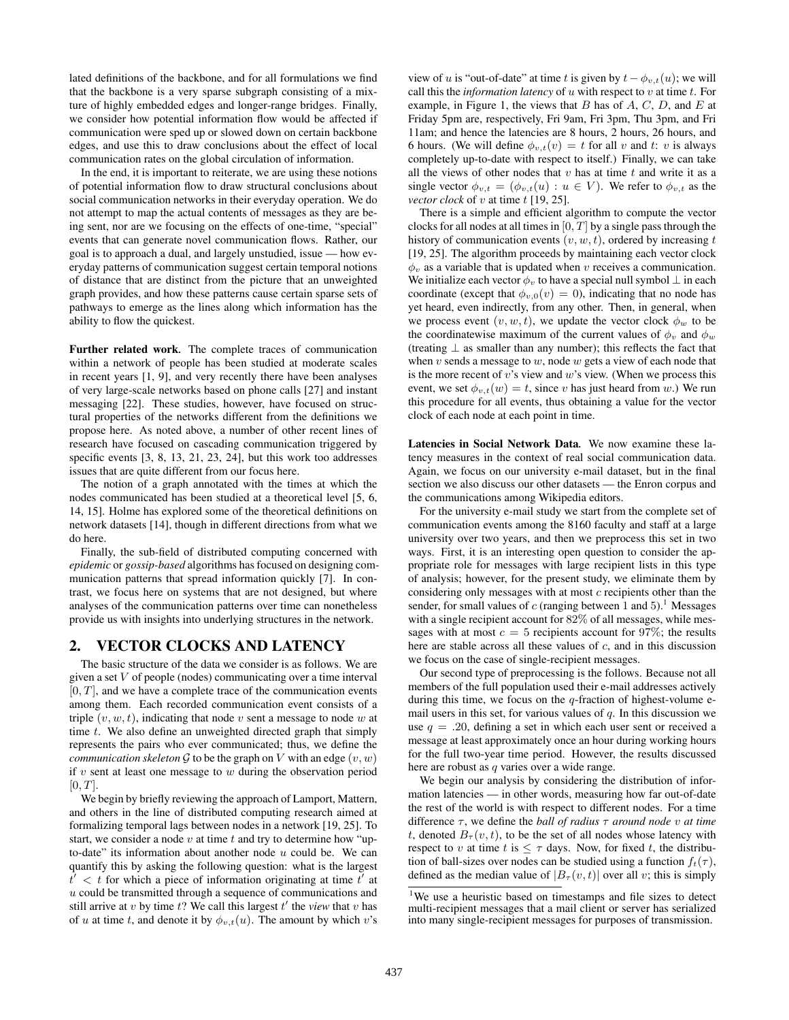lated definitions of the backbone, and for all formulations we find that the backbone is a very sparse subgraph consisting of a mixture of highly embedded edges and longer-range bridges. Finally, we consider how potential information flow would be affected if communication were sped up or slowed down on certain backbone edges, and use this to draw conclusions about the effect of local communication rates on the global circulation of information.

In the end, it is important to reiterate, we are using these notions of potential information flow to draw structural conclusions about social communication networks in their everyday operation. We do not attempt to map the actual contents of messages as they are being sent, nor are we focusing on the effects of one-time, "special" events that can generate novel communication flows. Rather, our goal is to approach a dual, and largely unstudied, issue — how everyday patterns of communication suggest certain temporal notions of distance that are distinct from the picture that an unweighted graph provides, and how these patterns cause certain sparse sets of pathways to emerge as the lines along which information has the ability to flow the quickest.

Further related work*.* The complete traces of communication within a network of people has been studied at moderate scales in recent years [1, 9], and very recently there have been analyses of very large-scale networks based on phone calls [27] and instant messaging [22]. These studies, however, have focused on structural properties of the networks different from the definitions we propose here. As noted above, a number of other recent lines of research have focused on cascading communication triggered by specific events [3, 8, 13, 21, 23, 24], but this work too addresses issues that are quite different from our focus here.

The notion of a graph annotated with the times at which the nodes communicated has been studied at a theoretical level [5, 6, 14, 15]. Holme has explored some of the theoretical definitions on network datasets [14], though in different directions from what we do here.

Finally, the sub-field of distributed computing concerned with *epidemic* or *gossip-based* algorithms has focused on designing communication patterns that spread information quickly [7]. In contrast, we focus here on systems that are not designed, but where analyses of the communication patterns over time can nonetheless provide us with insights into underlying structures in the network.

#### 2. VECTOR CLOCKS AND LATENCY

The basic structure of the data we consider is as follows. We are given a set  $V$  of people (nodes) communicating over a time interval  $[0, T]$ , and we have a complete trace of the communication events among them. Each recorded communication event consists of a triple  $(v, w, t)$ , indicating that node v sent a message to node w at time  $t$ . We also define an unweighted directed graph that simply represents the pairs who ever communicated; thus, we define the *communication skeleton*  $\mathcal G$  to be the graph on  $V$  with an edge  $(v, w)$ if  $v$  sent at least one message to  $w$  during the observation period  $[0, T]$ .

We begin by briefly reviewing the approach of Lamport, Mattern, and others in the line of distributed computing research aimed at formalizing temporal lags between nodes in a network [19, 25]. To start, we consider a node  $v$  at time  $t$  and try to determine how "upto-date" its information about another node  $u$  could be. We can quantify this by asking the following question: what is the largest  $t' < t$  for which a piece of information originating at time  $t'$  at  $u$  could be transmitted through a sequence of communications and still arrive at  $v$  by time  $t$ ? We call this largest  $t'$  the *view* that  $v$  has of u at time t, and denote it by  $\phi_{v,t}(u)$ . The amount by which v's view of u is "out-of-date" at time t is given by  $t - \phi_{v,t}(u)$ ; we will call this the *information latency* of u with respect to v at time t. For example, in Figure 1, the views that B has of A, C, D, and E at Friday 5pm are, respectively, Fri 9am, Fri 3pm, Thu 3pm, and Fri 11am; and hence the latencies are 8 hours, 2 hours, 26 hours, and 6 hours. (We will define  $\phi_{v,t}(v) = t$  for all v and t: v is always completely up-to-date with respect to itself.) Finally, we can take all the views of other nodes that  $v$  has at time  $t$  and write it as a single vector  $\phi_{v,t} = (\phi_{v,t}(u) : u \in V)$ . We refer to  $\phi_{v,t}$  as the *vector clock* of v at time  $t$  [19, 25].

There is a simple and efficient algorithm to compute the vector clocks for all nodes at all times in  $[0, T]$  by a single pass through the history of communication events  $(v, w, t)$ , ordered by increasing t [19, 25]. The algorithm proceeds by maintaining each vector clock  $\phi_v$  as a variable that is updated when v receives a communication. We initialize each vector  $\phi_v$  to have a special null symbol  $\perp$  in each coordinate (except that  $\phi_{v,0}(v)=0$ ), indicating that no node has yet heard, even indirectly, from any other. Then, in general, when we process event  $(v, w, t)$ , we update the vector clock  $\phi_w$  to be the coordinatewise maximum of the current values of  $\phi_v$  and  $\phi_w$ (treating  $\perp$  as smaller than any number); this reflects the fact that when  $v$  sends a message to  $w$ , node  $w$  gets a view of each node that is the more recent of  $v$ 's view and  $w$ 's view. (When we process this event, we set  $\phi_{v,t}(w) = t$ , since v has just heard from w.) We run this procedure for all events, thus obtaining a value for the vector clock of each node at each point in time.

Latencies in Social Network Data*.* We now examine these latency measures in the context of real social communication data. Again, we focus on our university e-mail dataset, but in the final section we also discuss our other datasets — the Enron corpus and the communications among Wikipedia editors.

For the university e-mail study we start from the complete set of communication events among the 8160 faculty and staff at a large university over two years, and then we preprocess this set in two ways. First, it is an interesting open question to consider the appropriate role for messages with large recipient lists in this type of analysis; however, for the present study, we eliminate them by considering only messages with at most c recipients other than the sender, for small values of c (ranging between 1 and 5).<sup>1</sup> Messages with a single recipient account for 82% of all messages, while messages with at most  $c = 5$  recipients account for 97%; the results here are stable across all these values of c, and in this discussion we focus on the case of single-recipient messages.

Our second type of preprocessing is the follows. Because not all members of the full population used their e-mail addresses actively during this time, we focus on the  $q$ -fraction of highest-volume email users in this set, for various values of  $q$ . In this discussion we use  $q = .20$ , defining a set in which each user sent or received a message at least approximately once an hour during working hours for the full two-year time period. However, the results discussed here are robust as q varies over a wide range.

We begin our analysis by considering the distribution of information latencies — in other words, measuring how far out-of-date the rest of the world is with respect to different nodes. For a time difference τ , we define the *ball of radius* τ *around node* v *at time* t, denoted  $B_{\tau}(v, t)$ , to be the set of all nodes whose latency with respect to v at time t is  $\leq \tau$  days. Now, for fixed t, the distribution of ball-sizes over nodes can be studied using a function  $f_t(\tau)$ , defined as the median value of  $|B_\tau(v, t)|$  over all v; this is simply

<sup>&</sup>lt;sup>1</sup>We use a heuristic based on timestamps and file sizes to detect multi-recipient messages that a mail client or server has serialized into many single-recipient messages for purposes of transmission.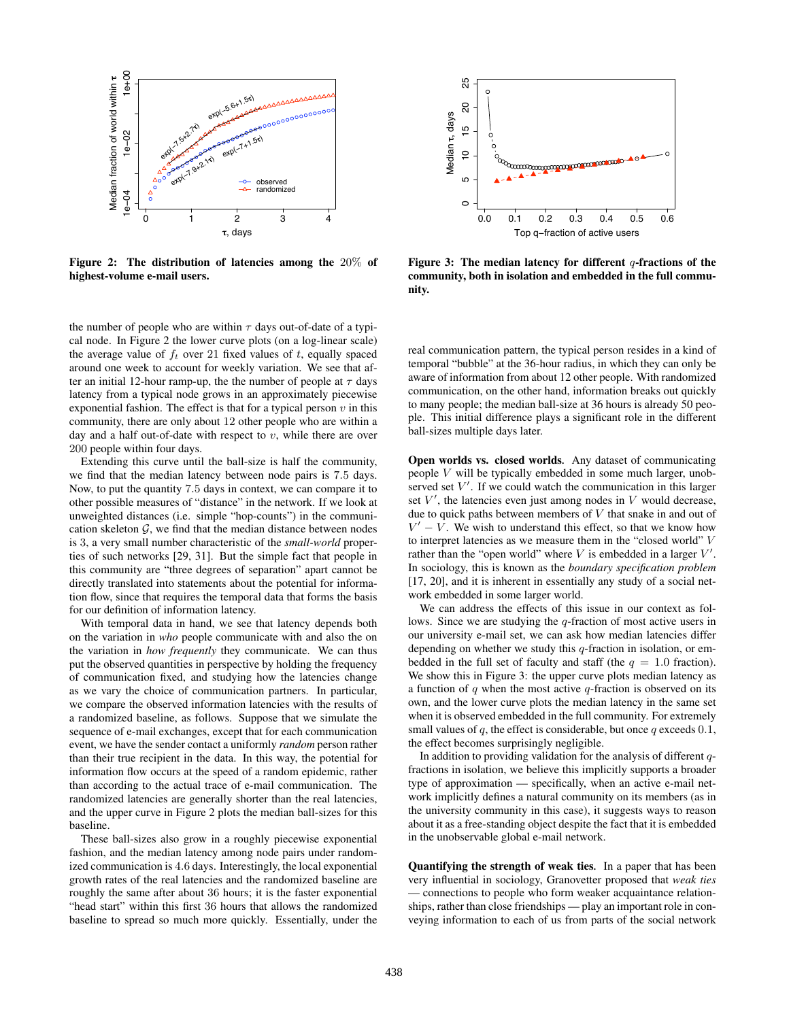

Figure 2: The distribution of latencies among the 20% of highest-volume e-mail users.

the number of people who are within  $\tau$  days out-of-date of a typical node. In Figure 2 the lower curve plots (on a log-linear scale) the average value of  $f_t$  over 21 fixed values of  $t$ , equally spaced around one week to account for weekly variation. We see that after an initial 12-hour ramp-up, the the number of people at  $\tau$  days latency from a typical node grows in an approximately piecewise exponential fashion. The effect is that for a typical person  $v$  in this community, there are only about 12 other people who are within a day and a half out-of-date with respect to  $v$ , while there are over 200 people within four days.

Extending this curve until the ball-size is half the community, we find that the median latency between node pairs is 7.5 days. Now, to put the quantity 7.5 days in context, we can compare it to other possible measures of "distance" in the network. If we look at unweighted distances (i.e. simple "hop-counts") in the communication skeleton  $G$ , we find that the median distance between nodes is 3, a very small number characteristic of the *small-world* properties of such networks [29, 31]. But the simple fact that people in this community are "three degrees of separation" apart cannot be directly translated into statements about the potential for information flow, since that requires the temporal data that forms the basis for our definition of information latency.

With temporal data in hand, we see that latency depends both on the variation in *who* people communicate with and also the on the variation in *how frequently* they communicate. We can thus put the observed quantities in perspective by holding the frequency of communication fixed, and studying how the latencies change as we vary the choice of communication partners. In particular, we compare the observed information latencies with the results of a randomized baseline, as follows. Suppose that we simulate the sequence of e-mail exchanges, except that for each communication event, we have the sender contact a uniformly *random* person rather than their true recipient in the data. In this way, the potential for information flow occurs at the speed of a random epidemic, rather than according to the actual trace of e-mail communication. The randomized latencies are generally shorter than the real latencies, and the upper curve in Figure 2 plots the median ball-sizes for this baseline.

These ball-sizes also grow in a roughly piecewise exponential fashion, and the median latency among node pairs under randomized communication is 4.6 days. Interestingly, the local exponential growth rates of the real latencies and the randomized baseline are roughly the same after about 36 hours; it is the faster exponential "head start" within this first 36 hours that allows the randomized baseline to spread so much more quickly. Essentially, under the



Figure 3: The median latency for different  $q$ -fractions of the community, both in isolation and embedded in the full community.

real communication pattern, the typical person resides in a kind of temporal "bubble" at the 36-hour radius, in which they can only be aware of information from about 12 other people. With randomized communication, on the other hand, information breaks out quickly to many people; the median ball-size at 36 hours is already 50 people. This initial difference plays a significant role in the different ball-sizes multiple days later.

Open worlds vs. closed worlds*.* Any dataset of communicating people V will be typically embedded in some much larger, unobserved set  $V'$ . If we could watch the communication in this larger set  $V'$ , the latencies even just among nodes in V would decrease, due to quick paths between members of  $V$  that snake in and out of  $V' - V$ . We wish to understand this effect, so that we know how to interpret latencies as we measure them in the "closed world" V rather than the "open world" where V is embedded in a larger  $V'$ . In sociology, this is known as the *boundary specification problem* [17, 20], and it is inherent in essentially any study of a social network embedded in some larger world.

We can address the effects of this issue in our context as follows. Since we are studying the q-fraction of most active users in our university e-mail set, we can ask how median latencies differ depending on whether we study this  $q$ -fraction in isolation, or embedded in the full set of faculty and staff (the  $q = 1.0$  fraction). We show this in Figure 3: the upper curve plots median latency as a function of q when the most active  $q$ -fraction is observed on its own, and the lower curve plots the median latency in the same set when it is observed embedded in the full community. For extremely small values of  $q$ , the effect is considerable, but once  $q$  exceeds 0.1, the effect becomes surprisingly negligible.

In addition to providing validation for the analysis of different  $q$ fractions in isolation, we believe this implicitly supports a broader type of approximation — specifically, when an active e-mail network implicitly defines a natural community on its members (as in the university community in this case), it suggests ways to reason about it as a free-standing object despite the fact that it is embedded in the unobservable global e-mail network.

Quantifying the strength of weak ties*.* In a paper that has been very influential in sociology, Granovetter proposed that *weak ties* — connections to people who form weaker acquaintance relationships, rather than close friendships — play an important role in conveying information to each of us from parts of the social network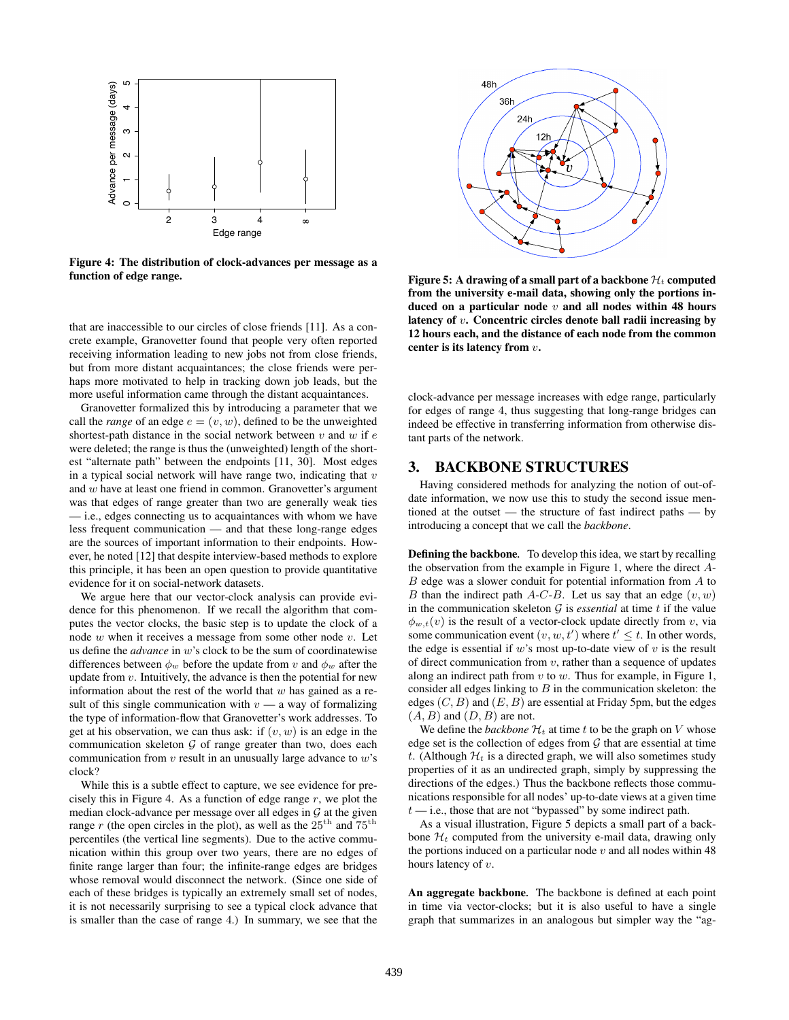

Figure 4: The distribution of clock-advances per message as a function of edge range.

that are inaccessible to our circles of close friends [11]. As a concrete example, Granovetter found that people very often reported receiving information leading to new jobs not from close friends, but from more distant acquaintances; the close friends were perhaps more motivated to help in tracking down job leads, but the more useful information came through the distant acquaintances.

Granovetter formalized this by introducing a parameter that we call the *range* of an edge  $e = (v, w)$ , defined to be the unweighted shortest-path distance in the social network between  $v$  and  $w$  if  $e$ were deleted; the range is thus the (unweighted) length of the shortest "alternate path" between the endpoints [11, 30]. Most edges in a typical social network will have range two, indicating that  $v$ and  $w$  have at least one friend in common. Granovetter's argument was that edges of range greater than two are generally weak ties — i.e., edges connecting us to acquaintances with whom we have less frequent communication — and that these long-range edges are the sources of important information to their endpoints. However, he noted [12] that despite interview-based methods to explore this principle, it has been an open question to provide quantitative evidence for it on social-network datasets.

We argue here that our vector-clock analysis can provide evidence for this phenomenon. If we recall the algorithm that computes the vector clocks, the basic step is to update the clock of a node  $w$  when it receives a message from some other node  $v$ . Let us define the *advance* in w's clock to be the sum of coordinatewise differences between  $\phi_w$  before the update from v and  $\phi_w$  after the update from  $v$ . Intuitively, the advance is then the potential for new information about the rest of the world that  $w$  has gained as a result of this single communication with  $v - a$  way of formalizing the type of information-flow that Granovetter's work addresses. To get at his observation, we can thus ask: if  $(v, w)$  is an edge in the communication skeleton  $G$  of range greater than two, does each communication from  $v$  result in an unusually large advance to  $w$ 's clock?

While this is a subtle effect to capture, we see evidence for precisely this in Figure 4. As a function of edge range  $r$ , we plot the median clock-advance per message over all edges in  $G$  at the given range r (the open circles in the plot), as well as the  $25<sup>th</sup>$  and  $75<sup>th</sup>$ percentiles (the vertical line segments). Due to the active communication within this group over two years, there are no edges of finite range larger than four; the infinite-range edges are bridges whose removal would disconnect the network. (Since one side of each of these bridges is typically an extremely small set of nodes, it is not necessarily surprising to see a typical clock advance that is smaller than the case of range 4.) In summary, we see that the



Figure 5: A drawing of a small part of a backbone  $\mathcal{H}_t$  computed from the university e-mail data, showing only the portions induced on a particular node  $v$  and all nodes within 48 hours latency of v. Concentric circles denote ball radii increasing by 12 hours each, and the distance of each node from the common center is its latency from v.

clock-advance per message increases with edge range, particularly for edges of range 4, thus suggesting that long-range bridges can indeed be effective in transferring information from otherwise distant parts of the network.

## 3. BACKBONE STRUCTURES

Having considered methods for analyzing the notion of out-ofdate information, we now use this to study the second issue mentioned at the outset — the structure of fast indirect paths — by introducing a concept that we call the *backbone*.

Defining the backbone*.* To develop this idea, we start by recalling the observation from the example in Figure 1, where the direct A- $B$  edge was a slower conduit for potential information from  $A$  to B than the indirect path A-C-B. Let us say that an edge  $(v, w)$ in the communication skeleton  $G$  is *essential* at time  $t$  if the value  $\phi_{w,t}(v)$  is the result of a vector-clock update directly from v, via some communication event  $(v, w, t')$  where  $t' \leq t$ . In other words, the edge is essential if w's most up-to-date view of  $v$  is the result of direct communication from  $v$ , rather than a sequence of updates along an indirect path from  $v$  to  $w$ . Thus for example, in Figure 1, consider all edges linking to  $B$  in the communication skeleton: the edges  $(C, B)$  and  $(E, B)$  are essential at Friday 5pm, but the edges  $(A, B)$  and  $(D, B)$  are not.

We define the *backbone*  $\mathcal{H}_t$  at time t to be the graph on V whose edge set is the collection of edges from  $G$  that are essential at time t. (Although  $\mathcal{H}_t$  is a directed graph, we will also sometimes study properties of it as an undirected graph, simply by suppressing the directions of the edges.) Thus the backbone reflects those communications responsible for all nodes' up-to-date views at a given time  $t$  — i.e., those that are not "bypassed" by some indirect path.

As a visual illustration, Figure 5 depicts a small part of a backbone  $\mathcal{H}_t$  computed from the university e-mail data, drawing only the portions induced on a particular node  $v$  and all nodes within 48 hours latency of v.

An aggregate backbone*.* The backbone is defined at each point in time via vector-clocks; but it is also useful to have a single graph that summarizes in an analogous but simpler way the "ag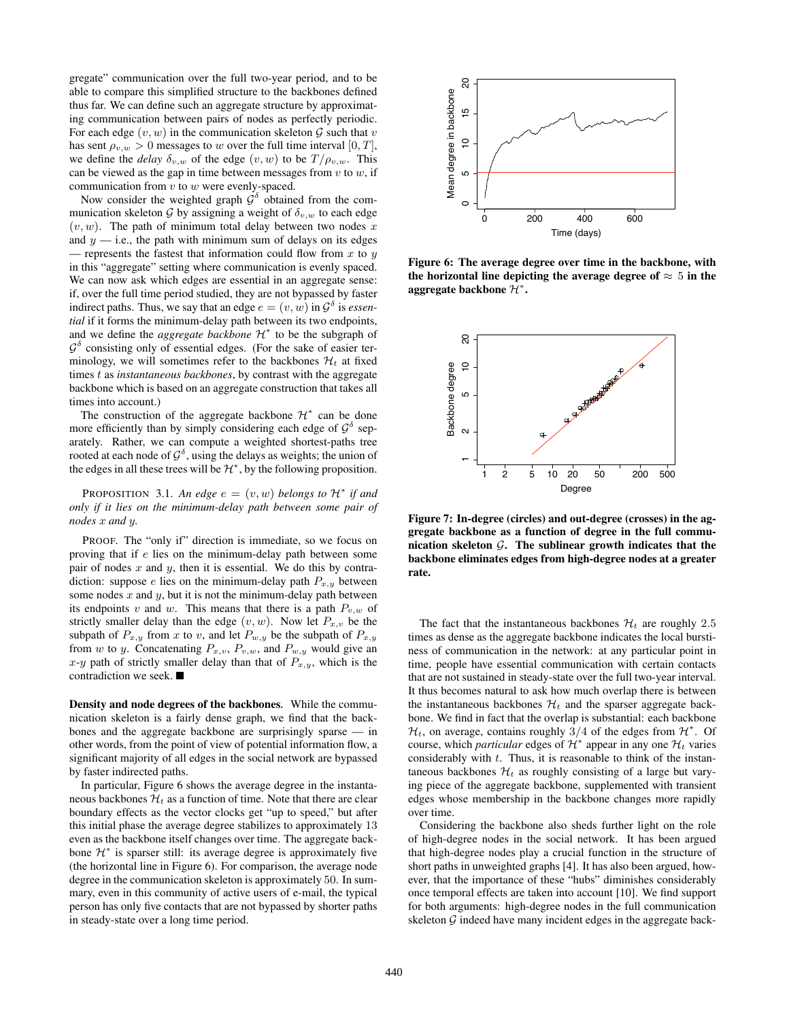gregate" communication over the full two-year period, and to be able to compare this simplified structure to the backbones defined thus far. We can define such an aggregate structure by approximating communication between pairs of nodes as perfectly periodic. For each edge  $(v, w)$  in the communication skeleton  $\mathcal G$  such that v has sent  $\rho_{v,w} > 0$  messages to w over the full time interval  $[0, T]$ , we define the *delay*  $\delta_{v,w}$  of the edge  $(v, w)$  to be  $T/\rho_{v,w}$ . This can be viewed as the gap in time between messages from  $v$  to  $w$ , if communication from v to w were evenly-spaced.

Now consider the weighted graph  $\mathcal{G}^{\delta}$  obtained from the communication skeleton G by assigning a weight of  $\delta_{v,w}$  to each edge  $(v, w)$ . The path of minimum total delay between two nodes x and  $y$  — i.e., the path with minimum sum of delays on its edges — represents the fastest that information could flow from  $x$  to  $y$ in this "aggregate" setting where communication is evenly spaced. We can now ask which edges are essential in an aggregate sense: if, over the full time period studied, they are not bypassed by faster indirect paths. Thus, we say that an edge  $e = (v, w)$  in  $\mathcal{G}^{\delta}$  is *essential* if it forms the minimum-delay path between its two endpoints, and we define the *aggregate backbone* H<sup>∗</sup> to be the subgraph of  $\mathcal{G}^{\delta}$  consisting only of essential edges. (For the sake of easier terminology, we will sometimes refer to the backbones  $\mathcal{H}_t$  at fixed times t as *instantaneous backbones*, by contrast with the aggregate backbone which is based on an aggregate construction that takes all times into account.)

The construction of the aggregate backbone  $\mathcal{H}^*$  can be done more efficiently than by simply considering each edge of  $\mathcal{G}^{\delta}$  separately. Rather, we can compute a weighted shortest-paths tree rooted at each node of  $\mathcal{G}^{\delta}$ , using the delays as weights; the union of the edges in all these trees will be  $\mathcal{H}^*$ , by the following proposition.

PROPOSITION 3.1. An edge  $e = (v, w)$  belongs to  $\mathcal{H}^*$  if and *only if it lies on the minimum-delay path between some pair of nodes* x *and* y*.*

PROOF. The "only if" direction is immediate, so we focus on proving that if e lies on the minimum-delay path between some pair of nodes  $x$  and  $y$ , then it is essential. We do this by contradiction: suppose e lies on the minimum-delay path  $P_{x,y}$  between some nodes  $x$  and  $y$ , but it is not the minimum-delay path between its endpoints v and w. This means that there is a path  $P_{v,w}$  of strictly smaller delay than the edge  $(v, w)$ . Now let  $P_{x,v}$  be the subpath of  $P_{x,y}$  from x to v, and let  $P_{w,y}$  be the subpath of  $P_{x,y}$ from w to y. Concatenating  $P_{x,v}$ ,  $P_{v,w}$ , and  $P_{w,y}$  would give an x-y path of strictly smaller delay than that of  $P_{x,y}$ , which is the contradiction we seek.

Density and node degrees of the backbones*.* While the communication skeleton is a fairly dense graph, we find that the backbones and the aggregate backbone are surprisingly sparse — in other words, from the point of view of potential information flow, a significant majority of all edges in the social network are bypassed by faster indirected paths.

In particular, Figure 6 shows the average degree in the instantaneous backbones  $\mathcal{H}_t$  as a function of time. Note that there are clear boundary effects as the vector clocks get "up to speed," but after this initial phase the average degree stabilizes to approximately 13 even as the backbone itself changes over time. The aggregate backbone  $\mathcal{H}^*$  is sparser still: its average degree is approximately five (the horizontal line in Figure 6). For comparison, the average node degree in the communication skeleton is approximately 50. In summary, even in this community of active users of e-mail, the typical person has only five contacts that are not bypassed by shorter paths in steady-state over a long time period.



Figure 6: The average degree over time in the backbone, with the horizontal line depicting the average degree of  $\approx 5$  in the aggregate backbone  $\mathcal{H}^*$ .



Figure 7: In-degree (circles) and out-degree (crosses) in the aggregate backbone as a function of degree in the full communication skeleton  $G$ . The sublinear growth indicates that the backbone eliminates edges from high-degree nodes at a greater rate.

The fact that the instantaneous backbones  $\mathcal{H}_t$  are roughly 2.5 times as dense as the aggregate backbone indicates the local burstiness of communication in the network: at any particular point in time, people have essential communication with certain contacts that are not sustained in steady-state over the full two-year interval. It thus becomes natural to ask how much overlap there is between the instantaneous backbones  $\mathcal{H}_t$  and the sparser aggregate backbone. We find in fact that the overlap is substantial: each backbone  $\mathcal{H}_t$ , on average, contains roughly 3/4 of the edges from  $\mathcal{H}^*$ . Of course, which *particular* edges of  $\mathcal{H}^*$  appear in any one  $\mathcal{H}_t$  varies considerably with  $t$ . Thus, it is reasonable to think of the instantaneous backbones  $\mathcal{H}_t$  as roughly consisting of a large but varying piece of the aggregate backbone, supplemented with transient edges whose membership in the backbone changes more rapidly over time.

Considering the backbone also sheds further light on the role of high-degree nodes in the social network. It has been argued that high-degree nodes play a crucial function in the structure of short paths in unweighted graphs [4]. It has also been argued, however, that the importance of these "hubs" diminishes considerably once temporal effects are taken into account [10]. We find support for both arguments: high-degree nodes in the full communication skeleton  $G$  indeed have many incident edges in the aggregate back-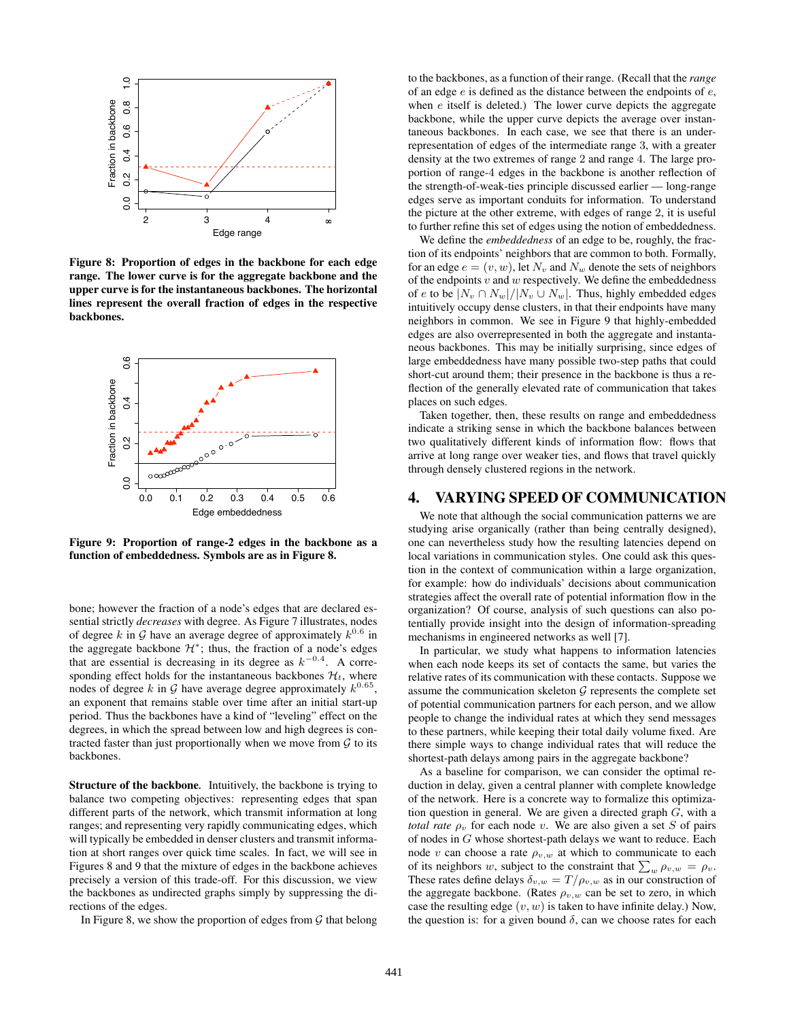

Figure 8: Proportion of edges in the backbone for each edge range. The lower curve is for the aggregate backbone and the upper curve is for the instantaneous backbones. The horizontal lines represent the overall fraction of edges in the respective backbones.



Figure 9: Proportion of range-2 edges in the backbone as a function of embeddedness. Symbols are as in Figure 8.

bone; however the fraction of a node's edges that are declared essential strictly *decreases* with degree. As Figure 7 illustrates, nodes of degree k in G have an average degree of approximately  $k^{0.6}$  in the aggregate backbone  $\mathcal{H}^*$ ; thus, the fraction of a node's edges that are essential is decreasing in its degree as  $k^{-0.4}$ . A corresponding effect holds for the instantaneous backbones  $\mathcal{H}_t$ , where nodes of degree k in G have average degree approximately  $k^{0.65}$ , an exponent that remains stable over time after an initial start-up period. Thus the backbones have a kind of "leveling" effect on the degrees, in which the spread between low and high degrees is contracted faster than just proportionally when we move from  $G$  to its backbones.

Structure of the backbone*.* Intuitively, the backbone is trying to balance two competing objectives: representing edges that span different parts of the network, which transmit information at long ranges; and representing very rapidly communicating edges, which will typically be embedded in denser clusters and transmit information at short ranges over quick time scales. In fact, we will see in Figures 8 and 9 that the mixture of edges in the backbone achieves precisely a version of this trade-off. For this discussion, we view the backbones as undirected graphs simply by suppressing the directions of the edges.

In Figure 8, we show the proportion of edges from  $G$  that belong

to the backbones, as a function of their range. (Recall that the *range* of an edge  $e$  is defined as the distance between the endpoints of  $e$ , when  $e$  itself is deleted.) The lower curve depicts the aggregate backbone, while the upper curve depicts the average over instantaneous backbones. In each case, we see that there is an underrepresentation of edges of the intermediate range 3, with a greater density at the two extremes of range 2 and range 4. The large proportion of range-4 edges in the backbone is another reflection of the strength-of-weak-ties principle discussed earlier — long-range edges serve as important conduits for information. To understand the picture at the other extreme, with edges of range 2, it is useful to further refine this set of edges using the notion of embeddedness.

We define the *embeddedness* of an edge to be, roughly, the fraction of its endpoints' neighbors that are common to both. Formally, for an edge  $e = (v, w)$ , let  $N_v$  and  $N_w$  denote the sets of neighbors of the endpoints  $v$  and  $w$  respectively. We define the embeddedness of e to be  $|N_v \cap N_w|/|N_v \cup N_w|$ . Thus, highly embedded edges intuitively occupy dense clusters, in that their endpoints have many neighbors in common. We see in Figure 9 that highly-embedded edges are also overrepresented in both the aggregate and instantaneous backbones. This may be initially surprising, since edges of large embeddedness have many possible two-step paths that could short-cut around them; their presence in the backbone is thus a reflection of the generally elevated rate of communication that takes places on such edges.

Taken together, then, these results on range and embeddedness indicate a striking sense in which the backbone balances between two qualitatively different kinds of information flow: flows that arrive at long range over weaker ties, and flows that travel quickly through densely clustered regions in the network.

#### 4. VARYING SPEED OF COMMUNICATION

We note that although the social communication patterns we are studying arise organically (rather than being centrally designed), one can nevertheless study how the resulting latencies depend on local variations in communication styles. One could ask this question in the context of communication within a large organization, for example: how do individuals' decisions about communication strategies affect the overall rate of potential information flow in the organization? Of course, analysis of such questions can also potentially provide insight into the design of information-spreading mechanisms in engineered networks as well [7].

In particular, we study what happens to information latencies when each node keeps its set of contacts the same, but varies the relative rates of its communication with these contacts. Suppose we assume the communication skeleton  $G$  represents the complete set of potential communication partners for each person, and we allow people to change the individual rates at which they send messages to these partners, while keeping their total daily volume fixed. Are there simple ways to change individual rates that will reduce the shortest-path delays among pairs in the aggregate backbone?

As a baseline for comparison, we can consider the optimal reduction in delay, given a central planner with complete knowledge of the network. Here is a concrete way to formalize this optimization question in general. We are given a directed graph G, with a *total rate*  $\rho_v$  for each node v. We are also given a set S of pairs of nodes in G whose shortest-path delays we want to reduce. Each node v can choose a rate  $\rho_{v,w}$  at which to communicate to each of its neighbors w, subject to the constraint that  $\sum_{w} \rho_{v,w} = \rho_v$ . These rates define delays  $\delta_{v,w} = T/\rho_{v,w}$  as in our construction of the aggregate backbone. (Rates  $\rho_{v,w}$  can be set to zero, in which case the resulting edge  $(v, w)$  is taken to have infinite delay.) Now, the question is: for a given bound  $\delta$ , can we choose rates for each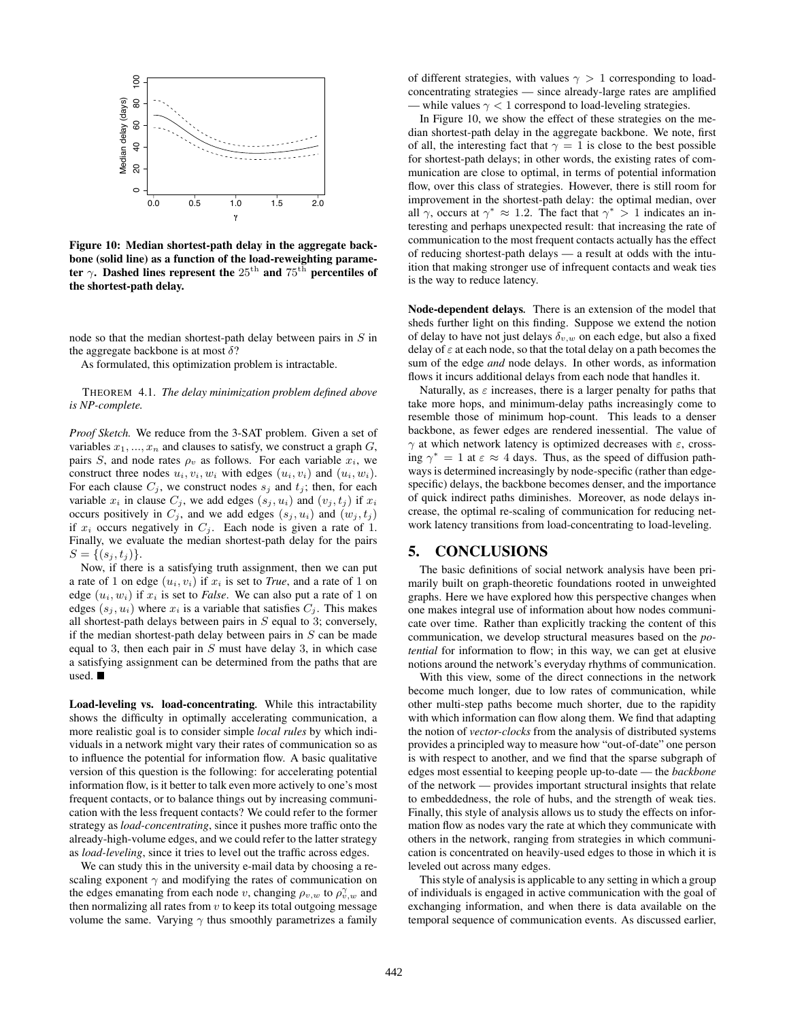

Figure 10: Median shortest-path delay in the aggregate backbone (solid line) as a function of the load-reweighting parameter  $\gamma$ . Dashed lines represent the  $25^{\text{th}}$  and  $75^{\text{th}}$  percentiles of the shortest-path delay.

node so that the median shortest-path delay between pairs in  $S$  in the aggregate backbone is at most  $\delta$ ?

As formulated, this optimization problem is intractable.

THEOREM 4.1. *The delay minimization problem defined above is NP-complete.*

*Proof Sketch.* We reduce from the 3-SAT problem. Given a set of variables  $x_1, ..., x_n$  and clauses to satisfy, we construct a graph  $G$ , pairs S, and node rates  $\rho_v$  as follows. For each variable  $x_i$ , we construct three nodes  $u_i, v_i, w_i$  with edges  $(u_i, v_i)$  and  $(u_i, w_i)$ . For each clause  $C_j$ , we construct nodes  $s_j$  and  $t_j$ ; then, for each variable  $x_i$  in clause  $C_j$ , we add edges  $(s_j, u_i)$  and  $(v_j, t_j)$  if  $x_i$ occurs positively in  $C_j$ , and we add edges  $(s_j, u_i)$  and  $(w_j, t_j)$ if  $x_i$  occurs negatively in  $C_j$ . Each node is given a rate of 1. Finally, we evaluate the median shortest-path delay for the pairs  $S = \{(s_j, t_j)\}.$ 

Now, if there is a satisfying truth assignment, then we can put a rate of 1 on edge  $(u_i, v_i)$  if  $x_i$  is set to *True*, and a rate of 1 on edge  $(u_i, w_i)$  if  $x_i$  is set to *False*. We can also put a rate of 1 on edges  $(s_j, u_i)$  where  $x_i$  is a variable that satisfies  $C_j$ . This makes all shortest-path delays between pairs in  $S$  equal to 3; conversely, if the median shortest-path delay between pairs in  $S$  can be made equal to 3, then each pair in  $S$  must have delay 3, in which case a satisfying assignment can be determined from the paths that are used.

Load-leveling vs. load-concentrating*.* While this intractability shows the difficulty in optimally accelerating communication, a more realistic goal is to consider simple *local rules* by which individuals in a network might vary their rates of communication so as to influence the potential for information flow. A basic qualitative version of this question is the following: for accelerating potential information flow, is it better to talk even more actively to one's most frequent contacts, or to balance things out by increasing communication with the less frequent contacts? We could refer to the former strategy as *load-concentrating*, since it pushes more traffic onto the already-high-volume edges, and we could refer to the latter strategy as *load-leveling*, since it tries to level out the traffic across edges.

We can study this in the university e-mail data by choosing a rescaling exponent  $\gamma$  and modifying the rates of communication on the edges emanating from each node v, changing  $\rho_{v,w}$  to  $\rho_{v,w}^{\gamma}$  and then normalizing all rates from  $v$  to keep its total outgoing message volume the same. Varying  $\gamma$  thus smoothly parametrizes a family of different strategies, with values  $\gamma > 1$  corresponding to loadconcentrating strategies — since already-large rates are amplified - while values  $\gamma < 1$  correspond to load-leveling strategies.

In Figure 10, we show the effect of these strategies on the median shortest-path delay in the aggregate backbone. We note, first of all, the interesting fact that  $\gamma = 1$  is close to the best possible for shortest-path delays; in other words, the existing rates of communication are close to optimal, in terms of potential information flow, over this class of strategies. However, there is still room for improvement in the shortest-path delay: the optimal median, over all  $\gamma$ , occurs at  $\gamma^* \approx 1.2$ . The fact that  $\gamma^* > 1$  indicates an interesting and perhaps unexpected result: that increasing the rate of communication to the most frequent contacts actually has the effect of reducing shortest-path delays — a result at odds with the intuition that making stronger use of infrequent contacts and weak ties is the way to reduce latency.

Node-dependent delays*.* There is an extension of the model that sheds further light on this finding. Suppose we extend the notion of delay to have not just delays  $\delta_{v,w}$  on each edge, but also a fixed delay of  $\varepsilon$  at each node, so that the total delay on a path becomes the sum of the edge *and* node delays. In other words, as information flows it incurs additional delays from each node that handles it.

Naturally, as  $\varepsilon$  increases, there is a larger penalty for paths that take more hops, and minimum-delay paths increasingly come to resemble those of minimum hop-count. This leads to a denser backbone, as fewer edges are rendered inessential. The value of  $\gamma$  at which network latency is optimized decreases with  $\varepsilon$ , crossing  $\gamma^* = 1$  at  $\varepsilon \approx 4$  days. Thus, as the speed of diffusion pathways is determined increasingly by node-specific (rather than edgespecific) delays, the backbone becomes denser, and the importance of quick indirect paths diminishes. Moreover, as node delays increase, the optimal re-scaling of communication for reducing network latency transitions from load-concentrating to load-leveling.

## 5. CONCLUSIONS

The basic definitions of social network analysis have been primarily built on graph-theoretic foundations rooted in unweighted graphs. Here we have explored how this perspective changes when one makes integral use of information about how nodes communicate over time. Rather than explicitly tracking the content of this communication, we develop structural measures based on the *potential* for information to flow; in this way, we can get at elusive notions around the network's everyday rhythms of communication.

With this view, some of the direct connections in the network become much longer, due to low rates of communication, while other multi-step paths become much shorter, due to the rapidity with which information can flow along them. We find that adapting the notion of *vector-clocks* from the analysis of distributed systems provides a principled way to measure how "out-of-date" one person is with respect to another, and we find that the sparse subgraph of edges most essential to keeping people up-to-date — the *backbone* of the network — provides important structural insights that relate to embeddedness, the role of hubs, and the strength of weak ties. Finally, this style of analysis allows us to study the effects on information flow as nodes vary the rate at which they communicate with others in the network, ranging from strategies in which communication is concentrated on heavily-used edges to those in which it is leveled out across many edges.

This style of analysis is applicable to any setting in which a group of individuals is engaged in active communication with the goal of exchanging information, and when there is data available on the temporal sequence of communication events. As discussed earlier,